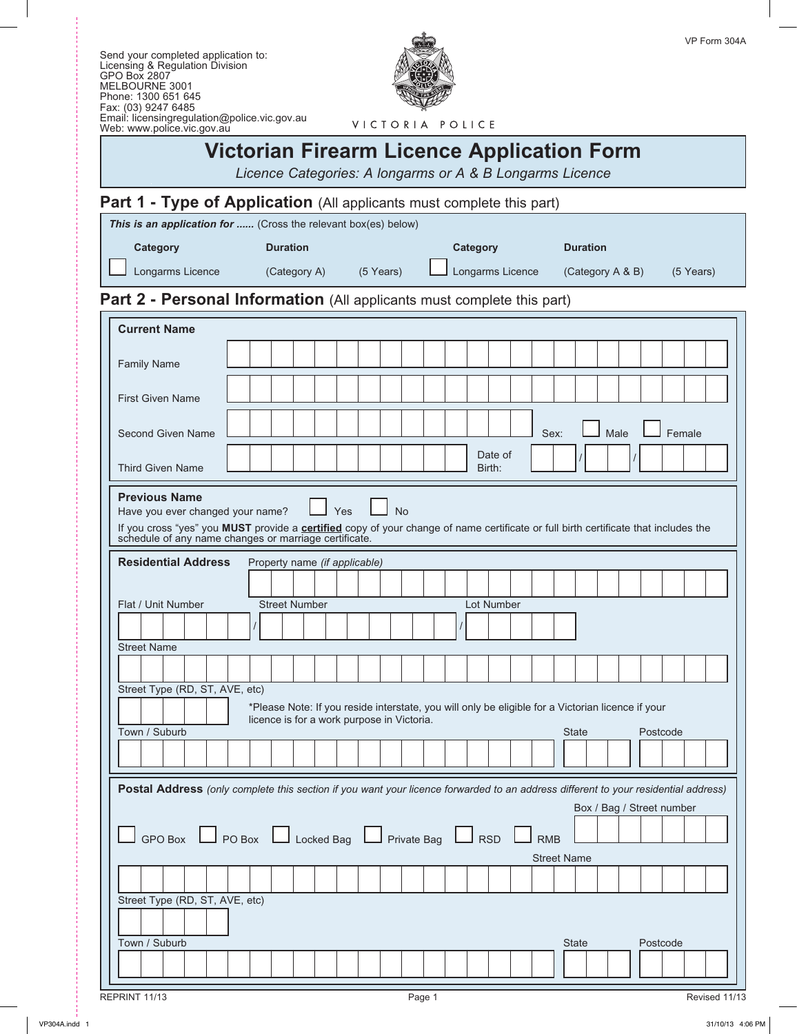

VICTORIA POLICE

# **Victorian Firearm Licence Application Form**

*Licence Categories: A longarms or A & B Longarms Licence*

# Part 1 - Type of Application (All applicants must complete this part)

| <b>Category</b><br><b>Duration</b><br><b>Duration</b><br><b>Category</b><br>Longarms Licence<br>Longarms Licence<br>(Category A)<br>(5 Years)<br>(Category A & B)<br>(5 Years)<br><b>Current Name</b><br><b>Family Name</b><br><b>First Given Name</b><br>Male<br>Female<br>Second Given Name<br>Sex:<br>Date of<br><b>Third Given Name</b><br>Birth:<br><b>Previous Name</b><br>Yes<br><b>No</b><br>Have you ever changed your name?<br>If you cross "yes" you MUST provide a certified copy of your change of name certificate or full birth certificate that includes the<br>schedule of any name changes or marriage certificate.<br><b>Residential Address</b><br>Property name (if applicable)<br><b>Street Number</b><br>Lot Number<br>Flat / Unit Number<br><b>Street Name</b><br>Street Type (RD, ST, AVE, etc)<br>*Please Note: If you reside interstate, you will only be eligible for a Victorian licence if your<br>licence is for a work purpose in Victoria.<br>Town / Suburb<br><b>State</b><br>Postcode<br>Postal Address (only complete this section if you want your licence forwarded to an address different to your residential address)<br>Box / Bag / Street number<br>$\Box$ GPO Box $\Box$ PO Box $\Box$ Locked Bag $\Box$ Private Bag $\Box$ RSD<br><b>RMB</b><br><b>Street Name</b><br>Street Type (RD, ST, AVE, etc)<br>Town / Suburb<br><b>State</b><br>Postcode | This is an application for  (Cross the relevant box(es) below)         |  |  |  |  |  |  |  |  |  |  |  |
|------------------------------------------------------------------------------------------------------------------------------------------------------------------------------------------------------------------------------------------------------------------------------------------------------------------------------------------------------------------------------------------------------------------------------------------------------------------------------------------------------------------------------------------------------------------------------------------------------------------------------------------------------------------------------------------------------------------------------------------------------------------------------------------------------------------------------------------------------------------------------------------------------------------------------------------------------------------------------------------------------------------------------------------------------------------------------------------------------------------------------------------------------------------------------------------------------------------------------------------------------------------------------------------------------------------------------------------------------------------------------------------------|------------------------------------------------------------------------|--|--|--|--|--|--|--|--|--|--|--|
|                                                                                                                                                                                                                                                                                                                                                                                                                                                                                                                                                                                                                                                                                                                                                                                                                                                                                                                                                                                                                                                                                                                                                                                                                                                                                                                                                                                                |                                                                        |  |  |  |  |  |  |  |  |  |  |  |
|                                                                                                                                                                                                                                                                                                                                                                                                                                                                                                                                                                                                                                                                                                                                                                                                                                                                                                                                                                                                                                                                                                                                                                                                                                                                                                                                                                                                |                                                                        |  |  |  |  |  |  |  |  |  |  |  |
|                                                                                                                                                                                                                                                                                                                                                                                                                                                                                                                                                                                                                                                                                                                                                                                                                                                                                                                                                                                                                                                                                                                                                                                                                                                                                                                                                                                                | Part 2 - Personal Information (All applicants must complete this part) |  |  |  |  |  |  |  |  |  |  |  |
|                                                                                                                                                                                                                                                                                                                                                                                                                                                                                                                                                                                                                                                                                                                                                                                                                                                                                                                                                                                                                                                                                                                                                                                                                                                                                                                                                                                                |                                                                        |  |  |  |  |  |  |  |  |  |  |  |
|                                                                                                                                                                                                                                                                                                                                                                                                                                                                                                                                                                                                                                                                                                                                                                                                                                                                                                                                                                                                                                                                                                                                                                                                                                                                                                                                                                                                |                                                                        |  |  |  |  |  |  |  |  |  |  |  |
|                                                                                                                                                                                                                                                                                                                                                                                                                                                                                                                                                                                                                                                                                                                                                                                                                                                                                                                                                                                                                                                                                                                                                                                                                                                                                                                                                                                                |                                                                        |  |  |  |  |  |  |  |  |  |  |  |
|                                                                                                                                                                                                                                                                                                                                                                                                                                                                                                                                                                                                                                                                                                                                                                                                                                                                                                                                                                                                                                                                                                                                                                                                                                                                                                                                                                                                |                                                                        |  |  |  |  |  |  |  |  |  |  |  |
|                                                                                                                                                                                                                                                                                                                                                                                                                                                                                                                                                                                                                                                                                                                                                                                                                                                                                                                                                                                                                                                                                                                                                                                                                                                                                                                                                                                                |                                                                        |  |  |  |  |  |  |  |  |  |  |  |
|                                                                                                                                                                                                                                                                                                                                                                                                                                                                                                                                                                                                                                                                                                                                                                                                                                                                                                                                                                                                                                                                                                                                                                                                                                                                                                                                                                                                |                                                                        |  |  |  |  |  |  |  |  |  |  |  |
|                                                                                                                                                                                                                                                                                                                                                                                                                                                                                                                                                                                                                                                                                                                                                                                                                                                                                                                                                                                                                                                                                                                                                                                                                                                                                                                                                                                                |                                                                        |  |  |  |  |  |  |  |  |  |  |  |
|                                                                                                                                                                                                                                                                                                                                                                                                                                                                                                                                                                                                                                                                                                                                                                                                                                                                                                                                                                                                                                                                                                                                                                                                                                                                                                                                                                                                |                                                                        |  |  |  |  |  |  |  |  |  |  |  |
|                                                                                                                                                                                                                                                                                                                                                                                                                                                                                                                                                                                                                                                                                                                                                                                                                                                                                                                                                                                                                                                                                                                                                                                                                                                                                                                                                                                                |                                                                        |  |  |  |  |  |  |  |  |  |  |  |
|                                                                                                                                                                                                                                                                                                                                                                                                                                                                                                                                                                                                                                                                                                                                                                                                                                                                                                                                                                                                                                                                                                                                                                                                                                                                                                                                                                                                |                                                                        |  |  |  |  |  |  |  |  |  |  |  |
|                                                                                                                                                                                                                                                                                                                                                                                                                                                                                                                                                                                                                                                                                                                                                                                                                                                                                                                                                                                                                                                                                                                                                                                                                                                                                                                                                                                                |                                                                        |  |  |  |  |  |  |  |  |  |  |  |
|                                                                                                                                                                                                                                                                                                                                                                                                                                                                                                                                                                                                                                                                                                                                                                                                                                                                                                                                                                                                                                                                                                                                                                                                                                                                                                                                                                                                |                                                                        |  |  |  |  |  |  |  |  |  |  |  |
|                                                                                                                                                                                                                                                                                                                                                                                                                                                                                                                                                                                                                                                                                                                                                                                                                                                                                                                                                                                                                                                                                                                                                                                                                                                                                                                                                                                                |                                                                        |  |  |  |  |  |  |  |  |  |  |  |
|                                                                                                                                                                                                                                                                                                                                                                                                                                                                                                                                                                                                                                                                                                                                                                                                                                                                                                                                                                                                                                                                                                                                                                                                                                                                                                                                                                                                |                                                                        |  |  |  |  |  |  |  |  |  |  |  |
|                                                                                                                                                                                                                                                                                                                                                                                                                                                                                                                                                                                                                                                                                                                                                                                                                                                                                                                                                                                                                                                                                                                                                                                                                                                                                                                                                                                                |                                                                        |  |  |  |  |  |  |  |  |  |  |  |
|                                                                                                                                                                                                                                                                                                                                                                                                                                                                                                                                                                                                                                                                                                                                                                                                                                                                                                                                                                                                                                                                                                                                                                                                                                                                                                                                                                                                |                                                                        |  |  |  |  |  |  |  |  |  |  |  |
|                                                                                                                                                                                                                                                                                                                                                                                                                                                                                                                                                                                                                                                                                                                                                                                                                                                                                                                                                                                                                                                                                                                                                                                                                                                                                                                                                                                                |                                                                        |  |  |  |  |  |  |  |  |  |  |  |
|                                                                                                                                                                                                                                                                                                                                                                                                                                                                                                                                                                                                                                                                                                                                                                                                                                                                                                                                                                                                                                                                                                                                                                                                                                                                                                                                                                                                |                                                                        |  |  |  |  |  |  |  |  |  |  |  |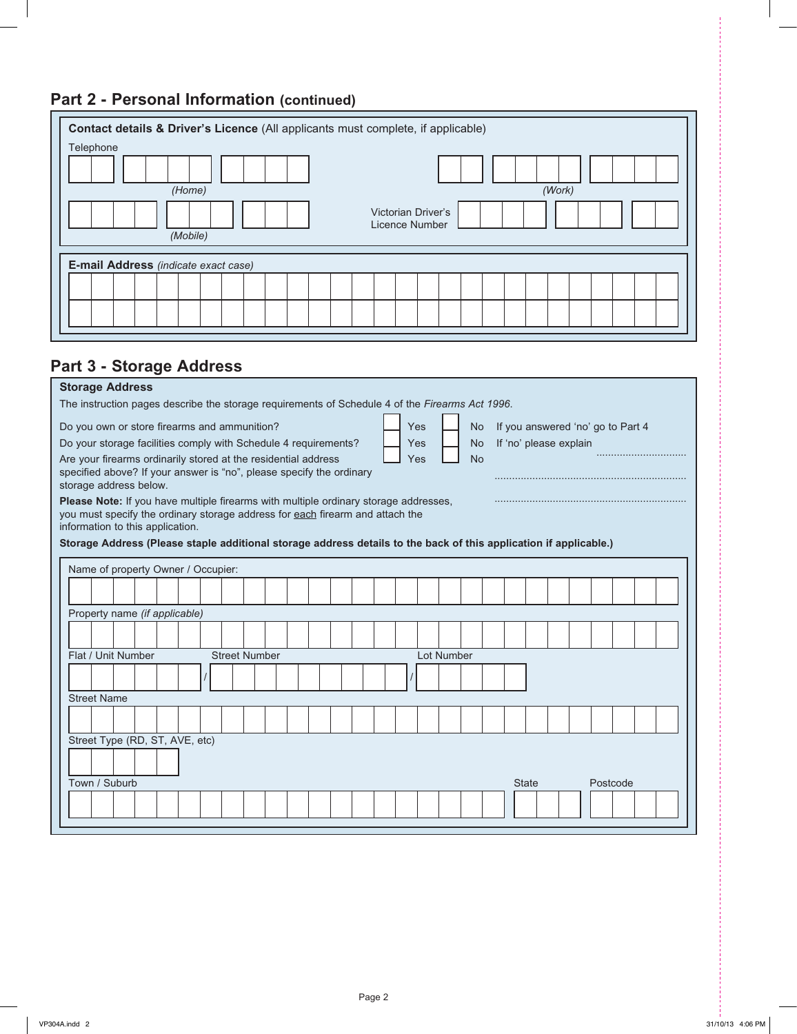# **Part 2 - Personal Information (continued)**

| Contact details & Driver's Licence (All applicants must complete, if applicable) |  |  |  |  |  |  |  |  |  |  |  |
|----------------------------------------------------------------------------------|--|--|--|--|--|--|--|--|--|--|--|
| Telephone                                                                        |  |  |  |  |  |  |  |  |  |  |  |
|                                                                                  |  |  |  |  |  |  |  |  |  |  |  |
| (Work)<br>(Home)                                                                 |  |  |  |  |  |  |  |  |  |  |  |
| <b>Victorian Driver's</b><br>Licence Number                                      |  |  |  |  |  |  |  |  |  |  |  |
| (Mobile)                                                                         |  |  |  |  |  |  |  |  |  |  |  |
| E-mail Address (indicate exact case)                                             |  |  |  |  |  |  |  |  |  |  |  |
|                                                                                  |  |  |  |  |  |  |  |  |  |  |  |
|                                                                                  |  |  |  |  |  |  |  |  |  |  |  |
|                                                                                  |  |  |  |  |  |  |  |  |  |  |  |

# **Part 3 - Storage Address**

| <b>Storage Address</b>                                                                                                                                                                                                                                                                                                                                                                                                                                                                                                                                                                                                |  |  |  |  |  |  |  |  |  |
|-----------------------------------------------------------------------------------------------------------------------------------------------------------------------------------------------------------------------------------------------------------------------------------------------------------------------------------------------------------------------------------------------------------------------------------------------------------------------------------------------------------------------------------------------------------------------------------------------------------------------|--|--|--|--|--|--|--|--|--|
| The instruction pages describe the storage requirements of Schedule 4 of the Firearms Act 1996.                                                                                                                                                                                                                                                                                                                                                                                                                                                                                                                       |  |  |  |  |  |  |  |  |  |
| Do you own or store firearms and ammunition?<br>Yes<br>If you answered 'no' go to Part 4<br><b>No</b><br>If 'no' please explain<br>Do your storage facilities comply with Schedule 4 requirements?<br>Yes<br>No.<br>Are your firearms ordinarily stored at the residential address<br><b>No</b><br>Yes<br>specified above? If your answer is "no", please specify the ordinary<br>storage address below.<br>Please Note: If you have multiple firearms with multiple ordinary storage addresses,<br>you must specify the ordinary storage address for each firearm and attach the<br>information to this application. |  |  |  |  |  |  |  |  |  |
| Storage Address (Please staple additional storage address details to the back of this application if applicable.)                                                                                                                                                                                                                                                                                                                                                                                                                                                                                                     |  |  |  |  |  |  |  |  |  |
| Name of property Owner / Occupier:                                                                                                                                                                                                                                                                                                                                                                                                                                                                                                                                                                                    |  |  |  |  |  |  |  |  |  |
|                                                                                                                                                                                                                                                                                                                                                                                                                                                                                                                                                                                                                       |  |  |  |  |  |  |  |  |  |
| Property name (if applicable)                                                                                                                                                                                                                                                                                                                                                                                                                                                                                                                                                                                         |  |  |  |  |  |  |  |  |  |
|                                                                                                                                                                                                                                                                                                                                                                                                                                                                                                                                                                                                                       |  |  |  |  |  |  |  |  |  |
| Flat / Unit Number<br><b>Street Number</b><br>Lot Number                                                                                                                                                                                                                                                                                                                                                                                                                                                                                                                                                              |  |  |  |  |  |  |  |  |  |
|                                                                                                                                                                                                                                                                                                                                                                                                                                                                                                                                                                                                                       |  |  |  |  |  |  |  |  |  |
| <b>Street Name</b>                                                                                                                                                                                                                                                                                                                                                                                                                                                                                                                                                                                                    |  |  |  |  |  |  |  |  |  |
|                                                                                                                                                                                                                                                                                                                                                                                                                                                                                                                                                                                                                       |  |  |  |  |  |  |  |  |  |
| Street Type (RD, ST, AVE, etc)                                                                                                                                                                                                                                                                                                                                                                                                                                                                                                                                                                                        |  |  |  |  |  |  |  |  |  |
|                                                                                                                                                                                                                                                                                                                                                                                                                                                                                                                                                                                                                       |  |  |  |  |  |  |  |  |  |
| Town / Suburb<br>Postcode<br><b>State</b>                                                                                                                                                                                                                                                                                                                                                                                                                                                                                                                                                                             |  |  |  |  |  |  |  |  |  |
|                                                                                                                                                                                                                                                                                                                                                                                                                                                                                                                                                                                                                       |  |  |  |  |  |  |  |  |  |
|                                                                                                                                                                                                                                                                                                                                                                                                                                                                                                                                                                                                                       |  |  |  |  |  |  |  |  |  |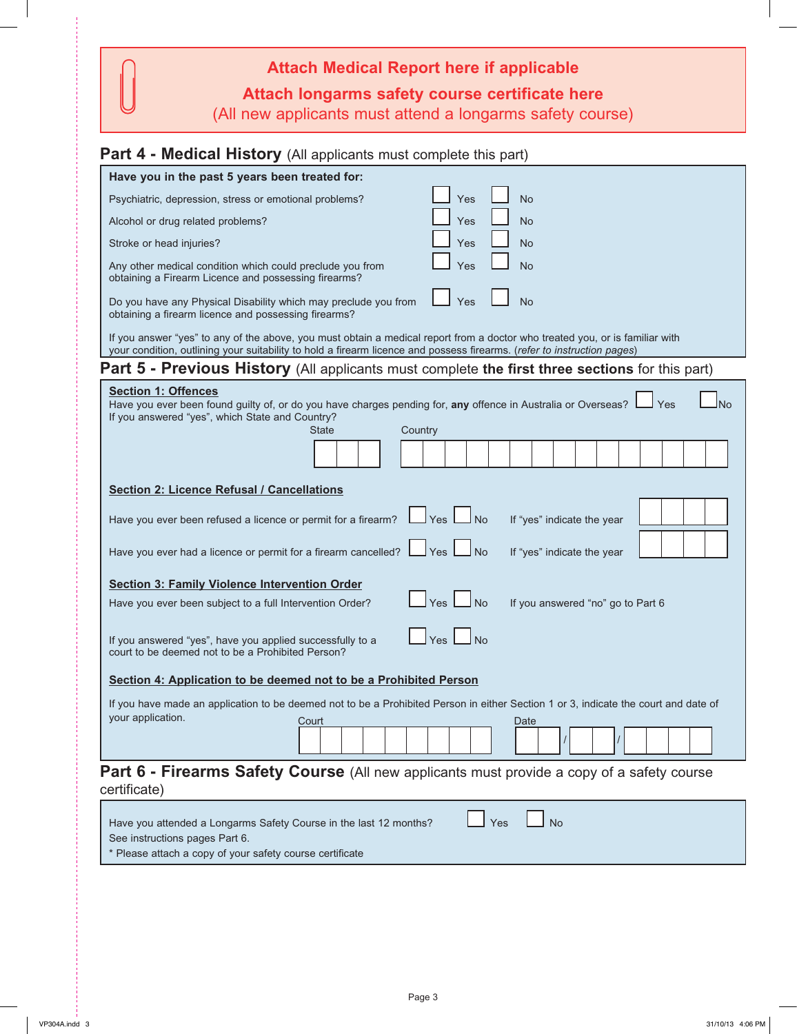| <b>Attach Medical Report here if applicable</b>                                                             |
|-------------------------------------------------------------------------------------------------------------|
| Attach longarms safety course certificate here<br>(All new applicants must attend a longarms safety course) |

# **Part 4 - Medical History** (All applicants must complete this part)

| Have you in the past 5 years been treated for:                                                                                                                                                                                                          |
|---------------------------------------------------------------------------------------------------------------------------------------------------------------------------------------------------------------------------------------------------------|
| <b>No</b><br>Yes<br>Psychiatric, depression, stress or emotional problems?                                                                                                                                                                              |
| Yes<br><b>No</b><br>Alcohol or drug related problems?                                                                                                                                                                                                   |
| Yes<br><b>No</b><br>Stroke or head injuries?                                                                                                                                                                                                            |
| <b>No</b><br>Any other medical condition which could preclude you from<br>Yes<br>obtaining a Firearm Licence and possessing firearms?                                                                                                                   |
| Yes<br><b>No</b><br>Do you have any Physical Disability which may preclude you from<br>obtaining a firearm licence and possessing firearms?                                                                                                             |
| If you answer "yes" to any of the above, you must obtain a medical report from a doctor who treated you, or is familiar with<br>your condition, outlining your suitability to hold a firearm licence and possess firearms. (refer to instruction pages) |
| Part 5 - Previous History (All applicants must complete the first three sections for this part)                                                                                                                                                         |
| <b>Section 1: Offences</b><br>Have you ever been found guilty of, or do you have charges pending for, any offence in Australia or Overseas?<br>Yes<br>N <sub>o</sub><br>If you answered "yes", which State and Country?<br>Country<br>State             |
| <b>Section 2: Licence Refusal / Cancellations</b>                                                                                                                                                                                                       |
| Have you ever been refused a licence or permit for a firearm?<br>l No<br>Yes  <br>If "yes" indicate the year<br>J Yes L<br>⊿No<br>Have you ever had a licence or permit for a firearm cancelled? $\Box$<br>If "yes" indicate the year                   |
| <b>Section 3: Family Violence Intervention Order</b>                                                                                                                                                                                                    |
| <b>No</b><br>Yes<br>If you answered "no" go to Part 6<br>Have you ever been subject to a full Intervention Order?                                                                                                                                       |
| Yes<br><b>No</b><br>If you answered "yes", have you applied successfully to a<br>court to be deemed not to be a Prohibited Person?                                                                                                                      |
| Section 4: Application to be deemed not to be a Prohibited Person                                                                                                                                                                                       |
| If you have made an application to be deemed not to be a Prohibited Person in either Section 1 or 3, indicate the court and date of<br>your application.<br>Court<br>Date                                                                               |
| <b>Part 6 - Firearms Safety Course</b> (All new applicants must provide a copy of a safety course<br>certificate)                                                                                                                                       |
| <b>No</b><br>Yes<br>Have you attended a Longarms Safety Course in the last 12 months?<br>See instructions pages Part 6.                                                                                                                                 |

\* Please attach a copy of your safety course certificate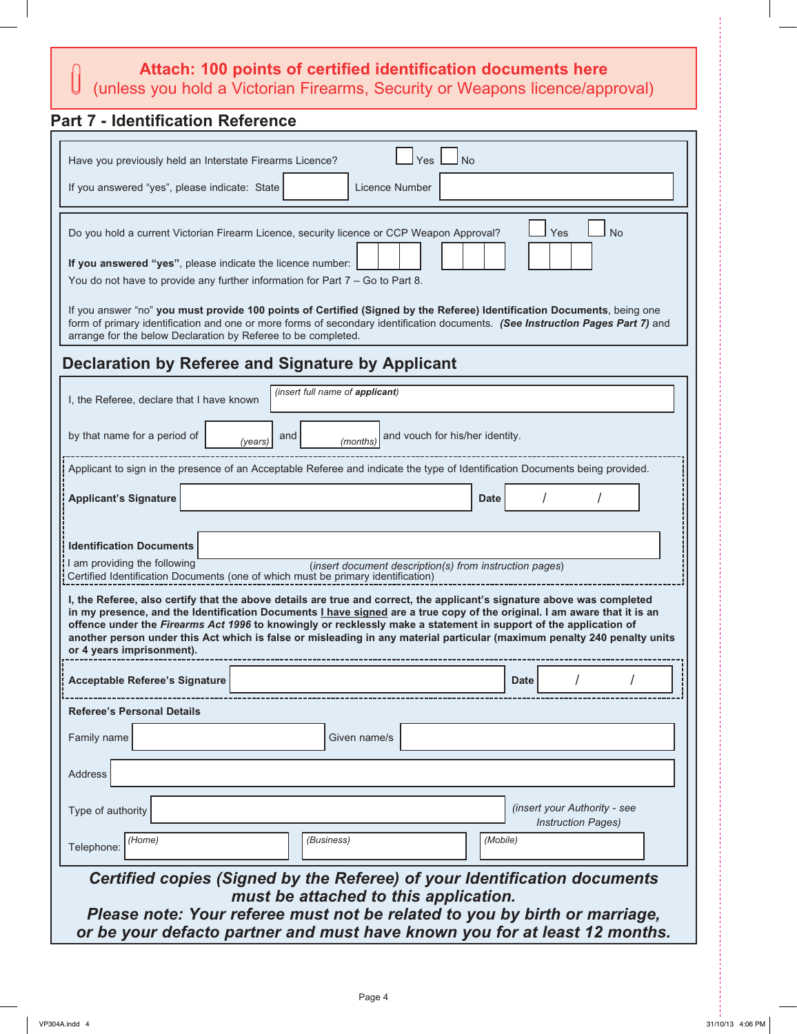# **Attach: 100 points of certified identification documents here**

# Attach: 100 points or certified identification documents that (unless you hold a Victorian Firearms, Security or Weapons licence/approval)

# **Part 7 - Identification Reference**

| Have you previously held an Interstate Firearms Licence?                                                       | Yes<br>No                                                                                                                                                                                                                                                 |  |  |  |  |  |  |  |  |  |
|----------------------------------------------------------------------------------------------------------------|-----------------------------------------------------------------------------------------------------------------------------------------------------------------------------------------------------------------------------------------------------------|--|--|--|--|--|--|--|--|--|
| If you answered "yes", please indicate: State                                                                  | Licence Number                                                                                                                                                                                                                                            |  |  |  |  |  |  |  |  |  |
| Yes<br><b>No</b><br>Do you hold a current Victorian Firearm Licence, security licence or CCP Weapon Approval?  |                                                                                                                                                                                                                                                           |  |  |  |  |  |  |  |  |  |
|                                                                                                                |                                                                                                                                                                                                                                                           |  |  |  |  |  |  |  |  |  |
|                                                                                                                | If you answered "yes", please indicate the licence number:<br>You do not have to provide any further information for Part 7 - Go to Part 8.                                                                                                               |  |  |  |  |  |  |  |  |  |
|                                                                                                                |                                                                                                                                                                                                                                                           |  |  |  |  |  |  |  |  |  |
| arrange for the below Declaration by Referee to be completed.                                                  | If you answer "no" you must provide 100 points of Certified (Signed by the Referee) Identification Documents, being one<br>form of primary identification and one or more forms of secondary identification documents. (See Instruction Pages Part 7) and |  |  |  |  |  |  |  |  |  |
| Declaration by Referee and Signature by Applicant                                                              |                                                                                                                                                                                                                                                           |  |  |  |  |  |  |  |  |  |
| I, the Referee, declare that I have known                                                                      | (insert full name of applicant)                                                                                                                                                                                                                           |  |  |  |  |  |  |  |  |  |
|                                                                                                                |                                                                                                                                                                                                                                                           |  |  |  |  |  |  |  |  |  |
| by that name for a period of<br>(years)                                                                        | and vouch for his/her identity.<br>and<br>(months)                                                                                                                                                                                                        |  |  |  |  |  |  |  |  |  |
|                                                                                                                | Applicant to sign in the presence of an Acceptable Referee and indicate the type of Identification Documents being provided.                                                                                                                              |  |  |  |  |  |  |  |  |  |
| <b>Applicant's Signature</b>                                                                                   | <b>Date</b>                                                                                                                                                                                                                                               |  |  |  |  |  |  |  |  |  |
|                                                                                                                |                                                                                                                                                                                                                                                           |  |  |  |  |  |  |  |  |  |
| <b>Identification Documents</b>                                                                                |                                                                                                                                                                                                                                                           |  |  |  |  |  |  |  |  |  |
| am providing the following<br>Certified Identification Documents (one of which must be primary identification) | (insert document description(s) from instruction pages)                                                                                                                                                                                                   |  |  |  |  |  |  |  |  |  |
|                                                                                                                | I, the Referee, also certify that the above details are true and correct, the applicant's signature above was completed                                                                                                                                   |  |  |  |  |  |  |  |  |  |
|                                                                                                                | in my presence, and the Identification Documents <i>I have signed</i> are a true copy of the original. I am aware that it is an<br>offence under the Firearms Act 1996 to knowingly or recklessly make a statement in support of the application of       |  |  |  |  |  |  |  |  |  |
| or 4 years imprisonment).                                                                                      | another person under this Act which is false or misleading in any material particular (maximum penalty 240 penalty units                                                                                                                                  |  |  |  |  |  |  |  |  |  |
|                                                                                                                |                                                                                                                                                                                                                                                           |  |  |  |  |  |  |  |  |  |
| <b>Acceptable Referee's Signature</b>                                                                          | <b>Date</b>                                                                                                                                                                                                                                               |  |  |  |  |  |  |  |  |  |
| <b>Referee's Personal Details</b>                                                                              |                                                                                                                                                                                                                                                           |  |  |  |  |  |  |  |  |  |
| Family name                                                                                                    | Given name/s                                                                                                                                                                                                                                              |  |  |  |  |  |  |  |  |  |
| Address                                                                                                        |                                                                                                                                                                                                                                                           |  |  |  |  |  |  |  |  |  |
|                                                                                                                |                                                                                                                                                                                                                                                           |  |  |  |  |  |  |  |  |  |
| Type of authority                                                                                              | (insert your Authority - see<br><b>Instruction Pages)</b>                                                                                                                                                                                                 |  |  |  |  |  |  |  |  |  |
| (Business)<br>(Mobile)<br>(Home)<br>Telephone:                                                                 |                                                                                                                                                                                                                                                           |  |  |  |  |  |  |  |  |  |
|                                                                                                                | Certified copies (Signed by the Referee) of your Identification documents                                                                                                                                                                                 |  |  |  |  |  |  |  |  |  |
|                                                                                                                | must be attached to this application.                                                                                                                                                                                                                     |  |  |  |  |  |  |  |  |  |
|                                                                                                                | Please note: Your referee must not be related to you by birth or marriage,                                                                                                                                                                                |  |  |  |  |  |  |  |  |  |
|                                                                                                                | or be your defacto partner and must have known you for at least 12 months.                                                                                                                                                                                |  |  |  |  |  |  |  |  |  |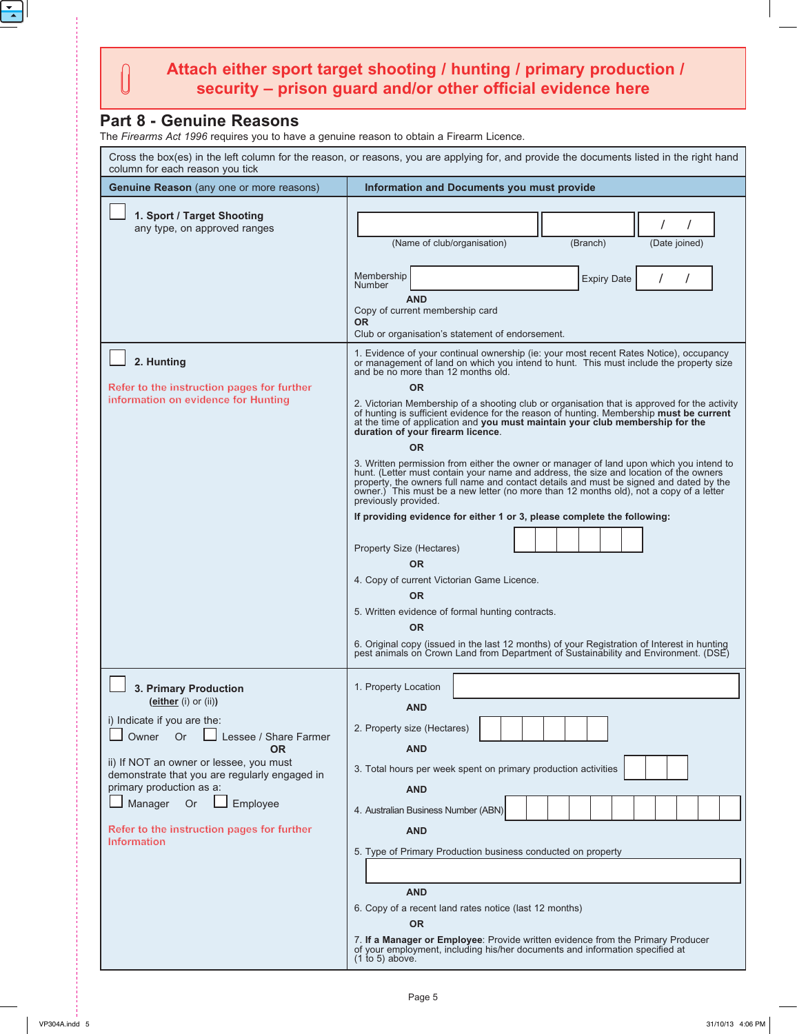## **Attach either sport target shooting / hunting / primary production / security – prison guard and/or other official evidence here**

## **Part 8 - Genuine Reasons**

 $\begin{bmatrix} \phantom{-} \end{bmatrix}$ 

The *Firearms Act 1996* requires you to have a genuine reason to obtain a Firearm Licence.

| Cross the box(es) in the left column for the reason, or reasons, you are applying for, and provide the documents listed in the right hand<br>column for each reason you tick                                                                                                                                                                  |                                                                                                                                                                                                                                                                                                                                                                                                                                                                                                                                                                                                                                                                                                                                                                                                                                                                                                                                                                                                                                                                                                                                                                                                                                                                                                                                                                                                                |  |  |  |  |  |  |
|-----------------------------------------------------------------------------------------------------------------------------------------------------------------------------------------------------------------------------------------------------------------------------------------------------------------------------------------------|----------------------------------------------------------------------------------------------------------------------------------------------------------------------------------------------------------------------------------------------------------------------------------------------------------------------------------------------------------------------------------------------------------------------------------------------------------------------------------------------------------------------------------------------------------------------------------------------------------------------------------------------------------------------------------------------------------------------------------------------------------------------------------------------------------------------------------------------------------------------------------------------------------------------------------------------------------------------------------------------------------------------------------------------------------------------------------------------------------------------------------------------------------------------------------------------------------------------------------------------------------------------------------------------------------------------------------------------------------------------------------------------------------------|--|--|--|--|--|--|
| <b>Genuine Reason</b> (any one or more reasons)                                                                                                                                                                                                                                                                                               | Information and Documents you must provide                                                                                                                                                                                                                                                                                                                                                                                                                                                                                                                                                                                                                                                                                                                                                                                                                                                                                                                                                                                                                                                                                                                                                                                                                                                                                                                                                                     |  |  |  |  |  |  |
| 1. Sport / Target Shooting<br>any type, on approved ranges                                                                                                                                                                                                                                                                                    | (Name of club/organisation)<br>(Branch)<br>(Date joined)<br>Membership<br><b>Expiry Date</b><br><b>Number</b><br><b>AND</b><br>Copy of current membership card<br><b>OR</b><br>Club or organisation's statement of endorsement.                                                                                                                                                                                                                                                                                                                                                                                                                                                                                                                                                                                                                                                                                                                                                                                                                                                                                                                                                                                                                                                                                                                                                                                |  |  |  |  |  |  |
| 2. Hunting<br>Refer to the instruction pages for further<br>information on evidence for Hunting                                                                                                                                                                                                                                               | 1. Evidence of your continual ownership (ie: your most recent Rates Notice), occupancy<br>or management of land on which you intend to hunt. This must include the property size<br>and be no more than 12 months old.<br><b>OR</b><br>2. Victorian Membership of a shooting club or organisation that is approved for the activity<br>of hunting is sufficient evidence for the reason of hunting. Membership must be current<br>at the time of application and you must maintain your club membership for the<br>duration of your firearm licence.<br><b>OR</b><br>3. Written permission from either the owner or manager of land upon which you intend to<br>hunt. (Letter must contain your name and address, the size and location of the owners<br>property, the owners full name and contact details and must be signed and dated by the<br>owner.) This must be a new letter (no more than 12 months old), not a copy of a letter<br>previously provided.<br>If providing evidence for either 1 or 3, please complete the following:<br><b>Property Size (Hectares)</b><br><b>OR</b><br>4. Copy of current Victorian Game Licence.<br><b>OR</b><br>5. Written evidence of formal hunting contracts.<br><b>OR</b><br>6. Original copy (issued in the last 12 months) of your Registration of Interest in hunting<br>pest animals on Crown Land from Department of Sustainability and Environment. (DSE) |  |  |  |  |  |  |
| 3. Primary Production<br>(either (i) or (ii))<br>i) Indicate if you are the:<br>Or<br>Owner<br>Lessee / Share Farmer<br>OR.<br>ii) If NOT an owner or lessee, you must<br>demonstrate that you are regularly engaged in<br>primary production as a:<br>Manager<br>Or<br>Employee<br>Refer to the instruction pages for further<br>Information | 1. Property Location<br><b>AND</b><br>2. Property size (Hectares)<br><b>AND</b><br>3. Total hours per week spent on primary production activities<br><b>AND</b><br>4. Australian Business Number (ABN)<br><b>AND</b><br>5. Type of Primary Production business conducted on property<br><b>AND</b><br>6. Copy of a recent land rates notice (last 12 months)<br><b>OR</b><br>7. If a Manager or Employee: Provide written evidence from the Primary Producer<br>of your employment, including his/her documents and information specified at<br>$(1$ to 5) above.                                                                                                                                                                                                                                                                                                                                                                                                                                                                                                                                                                                                                                                                                                                                                                                                                                              |  |  |  |  |  |  |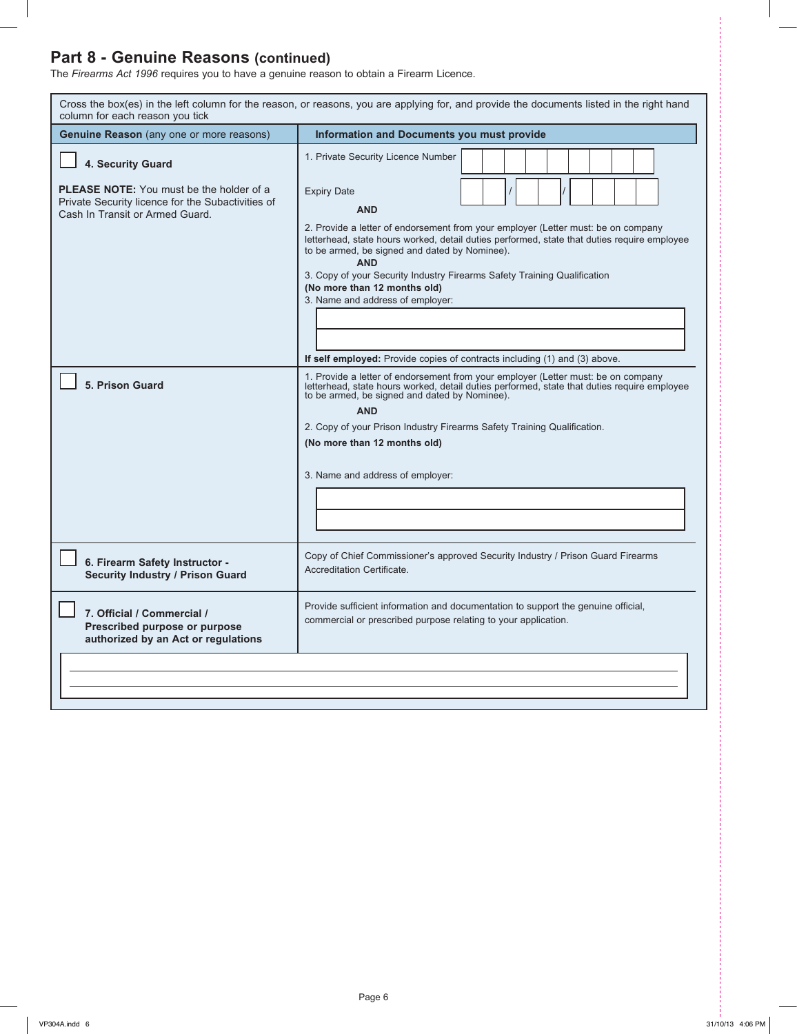## **Part 8 - Genuine Reasons (continued)**

The *Firearms Act 1996* requires you to have a genuine reason to obtain a Firearm Licence.

| Cross the box(es) in the left column for the reason, or reasons, you are applying for, and provide the documents listed in the right hand<br>column for each reason you tick |                                                                                                                                                                                                                                                                                                                                                                                                                                                                                                                   |  |  |  |  |  |  |
|------------------------------------------------------------------------------------------------------------------------------------------------------------------------------|-------------------------------------------------------------------------------------------------------------------------------------------------------------------------------------------------------------------------------------------------------------------------------------------------------------------------------------------------------------------------------------------------------------------------------------------------------------------------------------------------------------------|--|--|--|--|--|--|
| <b>Genuine Reason</b> (any one or more reasons)                                                                                                                              | <b>Information and Documents you must provide</b>                                                                                                                                                                                                                                                                                                                                                                                                                                                                 |  |  |  |  |  |  |
| 4. Security Guard                                                                                                                                                            | 1. Private Security Licence Number                                                                                                                                                                                                                                                                                                                                                                                                                                                                                |  |  |  |  |  |  |
| <b>PLEASE NOTE:</b> You must be the holder of a<br>Private Security licence for the Subactivities of<br>Cash In Transit or Armed Guard.                                      | <b>Expiry Date</b><br><b>AND</b><br>2. Provide a letter of endorsement from your employer (Letter must: be on company<br>letterhead, state hours worked, detail duties performed, state that duties require employee<br>to be armed, be signed and dated by Nominee).<br><b>AND</b><br>3. Copy of your Security Industry Firearms Safety Training Qualification<br>(No more than 12 months old)<br>3. Name and address of employer:<br>If self employed: Provide copies of contracts including (1) and (3) above. |  |  |  |  |  |  |
| 5. Prison Guard                                                                                                                                                              | 1. Provide a letter of endorsement from your employer (Letter must: be on company letterhead, state hours worked, detail duties performed, state that duties require employee<br>to be armed, be signed and dated by Nominee).<br><b>AND</b><br>2. Copy of your Prison Industry Firearms Safety Training Qualification.<br>(No more than 12 months old)<br>3. Name and address of employer:                                                                                                                       |  |  |  |  |  |  |
| 6. Firearm Safety Instructor -<br><b>Security Industry / Prison Guard</b>                                                                                                    | Copy of Chief Commissioner's approved Security Industry / Prison Guard Firearms<br>Accreditation Certificate.                                                                                                                                                                                                                                                                                                                                                                                                     |  |  |  |  |  |  |
| 7. Official / Commercial /<br>Prescribed purpose or purpose<br>authorized by an Act or regulations                                                                           | Provide sufficient information and documentation to support the genuine official,<br>commercial or prescribed purpose relating to your application.                                                                                                                                                                                                                                                                                                                                                               |  |  |  |  |  |  |
|                                                                                                                                                                              |                                                                                                                                                                                                                                                                                                                                                                                                                                                                                                                   |  |  |  |  |  |  |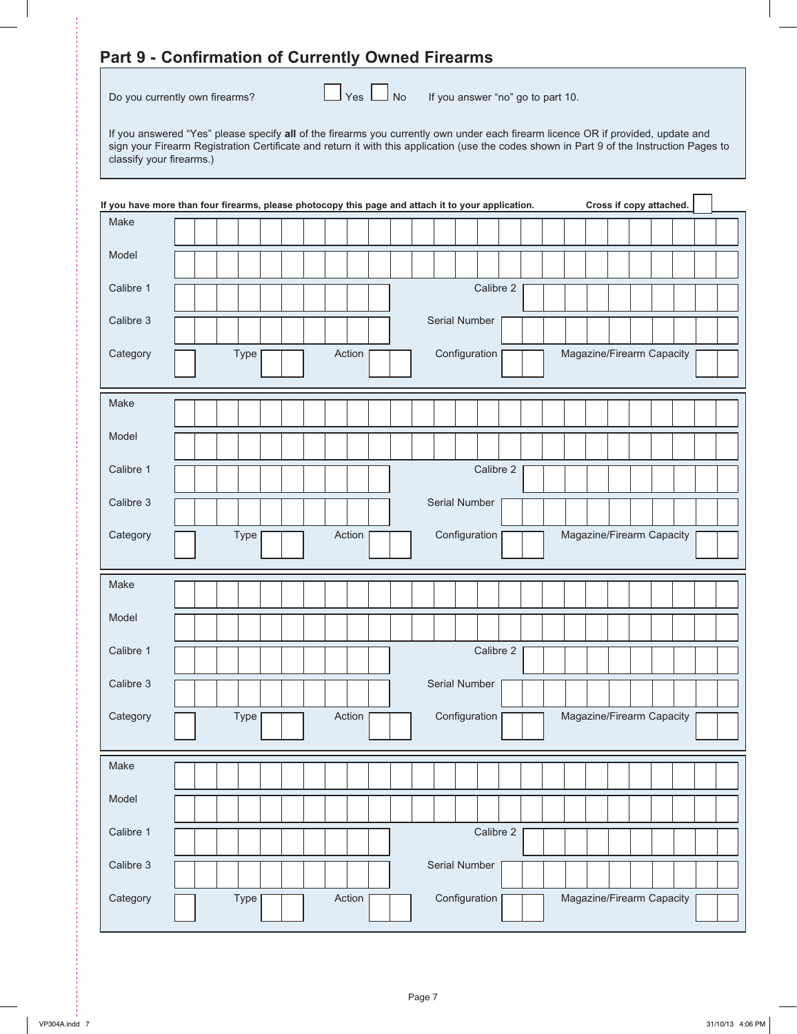## **Part 9 - Confirmation of Currently Owned Firearms**

Do you currently own firearms?  $\Box$  Yes  $\Box$  No If you answer "no" go to part 10.

If you answered "Yes" please specify **all** of the firearms you currently own under each firearm licence OR if provided, update and sign your Firearm Registration Certificate and return it with this application (use the codes shown in Part 9 of the Instruction Pages to classify your firearms.)

|           | Cross if copy attached.<br>If you have more than four firearms, please photocopy this page and attach it to your application. |  |  |  |  |  |  |  |
|-----------|-------------------------------------------------------------------------------------------------------------------------------|--|--|--|--|--|--|--|
| Make      |                                                                                                                               |  |  |  |  |  |  |  |
| Model     |                                                                                                                               |  |  |  |  |  |  |  |
| Calibre 1 | Calibre 2                                                                                                                     |  |  |  |  |  |  |  |
| Calibre 3 | Serial Number                                                                                                                 |  |  |  |  |  |  |  |
| Category  | Action<br>Configuration<br>Magazine/Firearm Capacity<br>Type                                                                  |  |  |  |  |  |  |  |
| Make      |                                                                                                                               |  |  |  |  |  |  |  |
| Model     |                                                                                                                               |  |  |  |  |  |  |  |
| Calibre 1 | Calibre 2                                                                                                                     |  |  |  |  |  |  |  |
| Calibre 3 | Serial Number                                                                                                                 |  |  |  |  |  |  |  |
| Category  | Action<br>Configuration<br>Magazine/Firearm Capacity<br>Type                                                                  |  |  |  |  |  |  |  |
| Make      |                                                                                                                               |  |  |  |  |  |  |  |
| Model     |                                                                                                                               |  |  |  |  |  |  |  |
| Calibre 1 | Calibre 2                                                                                                                     |  |  |  |  |  |  |  |
| Calibre 3 | Serial Number                                                                                                                 |  |  |  |  |  |  |  |
| Category  | Type [<br>Magazine/Firearm Capacity<br>Action<br>Configuration                                                                |  |  |  |  |  |  |  |
| Make      |                                                                                                                               |  |  |  |  |  |  |  |
| Model     |                                                                                                                               |  |  |  |  |  |  |  |
| Calibre 1 | Calibre 2                                                                                                                     |  |  |  |  |  |  |  |
| Calibre 3 | Serial Number                                                                                                                 |  |  |  |  |  |  |  |
| Category  | Action<br>Configuration<br>Magazine/Firearm Capacity<br>Type [                                                                |  |  |  |  |  |  |  |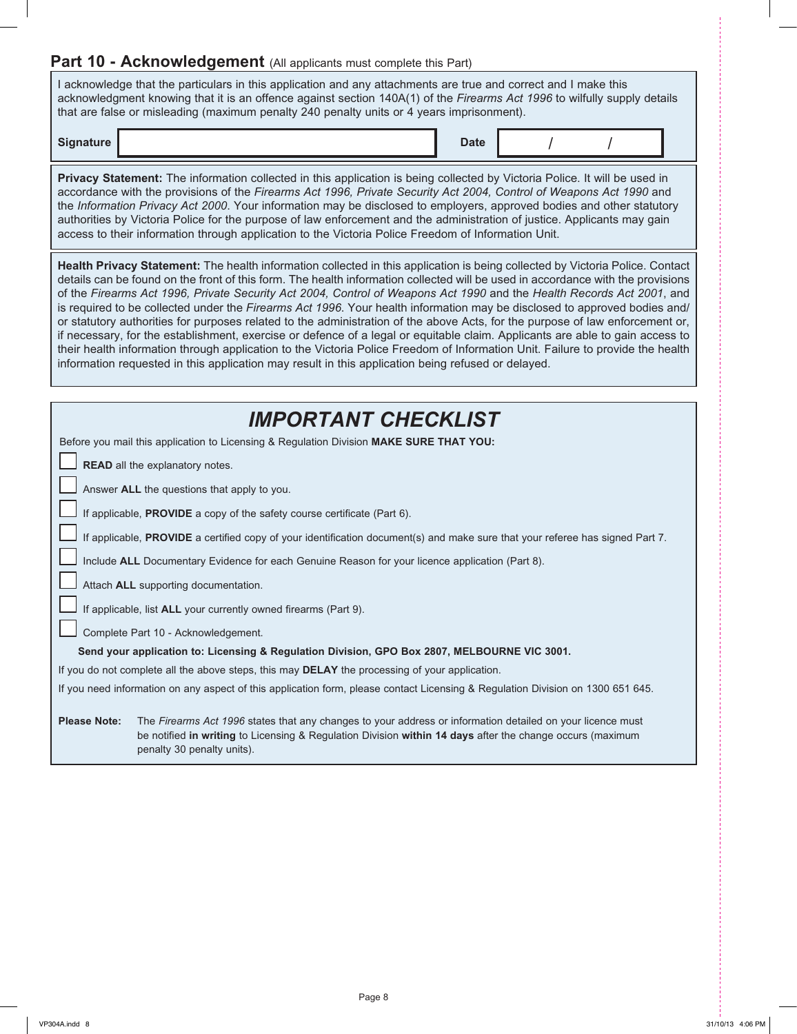## **Part 10 - Acknowledgement** (All applicants must complete this Part)

I acknowledge that the particulars in this application and any attachments are true and correct and I make this acknowledgment knowing that it is an offence against section 140A(1) of the *Firearms Act 1996* to wilfully supply details that are false or misleading (maximum penalty 240 penalty units or 4 years imprisonment).

**Signature Date** / /

**Privacy Statement:** The information collected in this application is being collected by Victoria Police. It will be used in accordance with the provisions of the *Firearms Act 1996, Private Security Act 2004, Control of Weapons Act 1990* and the *Information Privacy Act 2000*. Your information may be disclosed to employers, approved bodies and other statutory authorities by Victoria Police for the purpose of law enforcement and the administration of justice. Applicants may gain access to their information through application to the Victoria Police Freedom of Information Unit.

**Health Privacy Statement:** The health information collected in this application is being collected by Victoria Police. Contact details can be found on the front of this form. The health information collected will be used in accordance with the provisions of the *Firearms Act 1996, Private Security Act 2004, Control of Weapons Act 1990* and the *Health Records Act 2001*, and is required to be collected under the *Firearms Act 1996*. Your health information may be disclosed to approved bodies and/ or statutory authorities for purposes related to the administration of the above Acts, for the purpose of law enforcement or, if necessary, for the establishment, exercise or defence of a legal or equitable claim. Applicants are able to gain access to their health information through application to the Victoria Police Freedom of Information Unit. Failure to provide the health information requested in this application may result in this application being refused or delayed.

| <b>IMPORTANT CHECKLIST</b>                                                                                                                                                                                                                                                   |  |  |  |  |  |  |  |  |
|------------------------------------------------------------------------------------------------------------------------------------------------------------------------------------------------------------------------------------------------------------------------------|--|--|--|--|--|--|--|--|
| Before you mail this application to Licensing & Regulation Division MAKE SURE THAT YOU:                                                                                                                                                                                      |  |  |  |  |  |  |  |  |
| READ all the explanatory notes.                                                                                                                                                                                                                                              |  |  |  |  |  |  |  |  |
| Answer ALL the questions that apply to you.                                                                                                                                                                                                                                  |  |  |  |  |  |  |  |  |
| If applicable, PROVIDE a copy of the safety course certificate (Part 6).                                                                                                                                                                                                     |  |  |  |  |  |  |  |  |
| If applicable, PROVIDE a certified copy of your identification document(s) and make sure that your referee has signed Part 7.                                                                                                                                                |  |  |  |  |  |  |  |  |
| Include ALL Documentary Evidence for each Genuine Reason for your licence application (Part 8).                                                                                                                                                                              |  |  |  |  |  |  |  |  |
| Attach ALL supporting documentation.                                                                                                                                                                                                                                         |  |  |  |  |  |  |  |  |
| If applicable, list ALL your currently owned firearms (Part 9).                                                                                                                                                                                                              |  |  |  |  |  |  |  |  |
| Complete Part 10 - Acknowledgement.                                                                                                                                                                                                                                          |  |  |  |  |  |  |  |  |
| Send your application to: Licensing & Regulation Division, GPO Box 2807, MELBOURNE VIC 3001.                                                                                                                                                                                 |  |  |  |  |  |  |  |  |
| If you do not complete all the above steps, this may DELAY the processing of your application.                                                                                                                                                                               |  |  |  |  |  |  |  |  |
| If you need information on any aspect of this application form, please contact Licensing & Regulation Division on 1300 651 645.                                                                                                                                              |  |  |  |  |  |  |  |  |
|                                                                                                                                                                                                                                                                              |  |  |  |  |  |  |  |  |
| <b>Please Note:</b><br>The Firearms Act 1996 states that any changes to your address or information detailed on your licence must<br>be notified in writing to Licensing & Regulation Division within 14 days after the change occurs (maximum<br>penalty 30 penalty units). |  |  |  |  |  |  |  |  |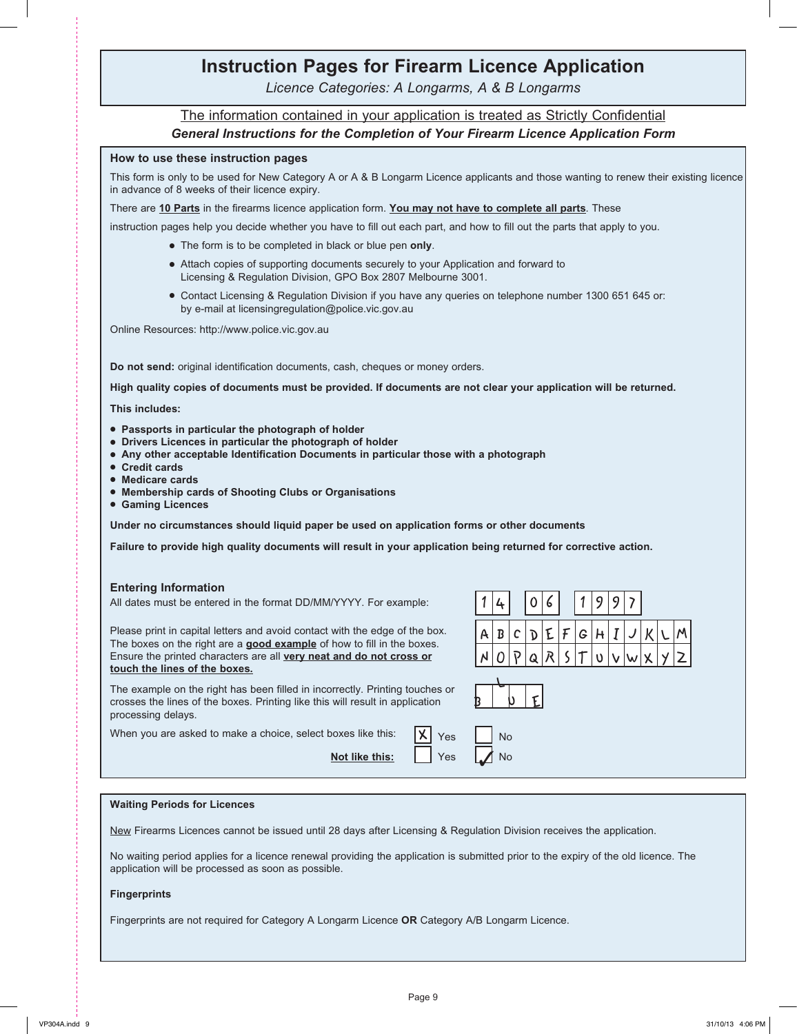# **Instruction Pages for Firearm Licence Application**

*Licence Categories: A Longarms, A & B Longarms*

### The information contained in your application is treated as Strictly Confidential *General Instructions for the Completion of Your Firearm Licence Application Form*

#### **How to use these instruction pages**

This form is only to be used for New Category A or A & B Longarm Licence applicants and those wanting to renew their existing licence in advance of 8 weeks of their licence expiry.

There are **10 Parts** in the firearms licence application form. **You may not have to complete all parts**. These

instruction pages help you decide whether you have to fill out each part, and how to fill out the parts that apply to you.

- The form is to be completed in black or blue pen only.
- Attach copies of supporting documents securely to your Application and forward to Licensing & Regulation Division, GPO Box 2807 Melbourne 3001.
- Contact Licensing & Regulation Division if you have any queries on telephone number 1300 651 645 or: by e-mail at licensingregulation@police.vic.gov.au

Online Resources: http://www.police.vic.gov.au

**Do not send:** original identification documents, cash, cheques or money orders.

**High quality copies of documents must be provided. If documents are not clear your application will be returned.**

**This includes:**

- **Passports in particular the photograph of holder**
- **Drivers Licences in particular the photograph of holder**
- **Any other acceptable Identification Documents in particular those with a photograph**
- **Credit cards**
- $\bullet$  Medicare cards
- **Membership cards of Shooting Clubs or Organisations**
- **Gaming Licences**

**Under no circumstances should liquid paper be used on application forms or other documents**

**Failure to provide high quality documents will result in your application being returned for corrective action.**

#### **Entering Information**

| All dates must be entered in the format DD/MM/YYYY. For example: |  |  |
|------------------------------------------------------------------|--|--|
|------------------------------------------------------------------|--|--|

Please print in capital letters and avoid contact with the edge of the box. The boxes on the right are a **good example** of how to fill in the boxes. Ensure the printed characters are all **very neat and do not cross or touch the lines of the boxes.**

1 4 0 6 1 9 9 7  $B C |D| F |F |G |H |T |J |V |V$ 

The example on the right has been filled in incorrectly. Printing touches or crosses the lines of the boxes. Printing like this will result in application processing delays.

When you are asked to make a choice, select boxes like this:  $\|\mathsf{X}\|_{\mathsf{Yes}}$ 

**Not like this:** Yes

|  |          |  |  |  | $0 \overline{p} q R s T v v w x $ |  | $ y $ $ z $ |
|--|----------|--|--|--|-----------------------------------|--|-------------|
|  |          |  |  |  |                                   |  |             |
|  |          |  |  |  |                                   |  |             |
|  | No<br>No |  |  |  |                                   |  |             |

#### **Waiting Periods for Licences**

New Firearms Licences cannot be issued until 28 days after Licensing & Regulation Division receives the application.

No waiting period applies for a licence renewal providing the application is submitted prior to the expiry of the old licence. The application will be processed as soon as possible.

#### **Fingerprints**

Fingerprints are not required for Category A Longarm Licence **OR** Category A/B Longarm Licence.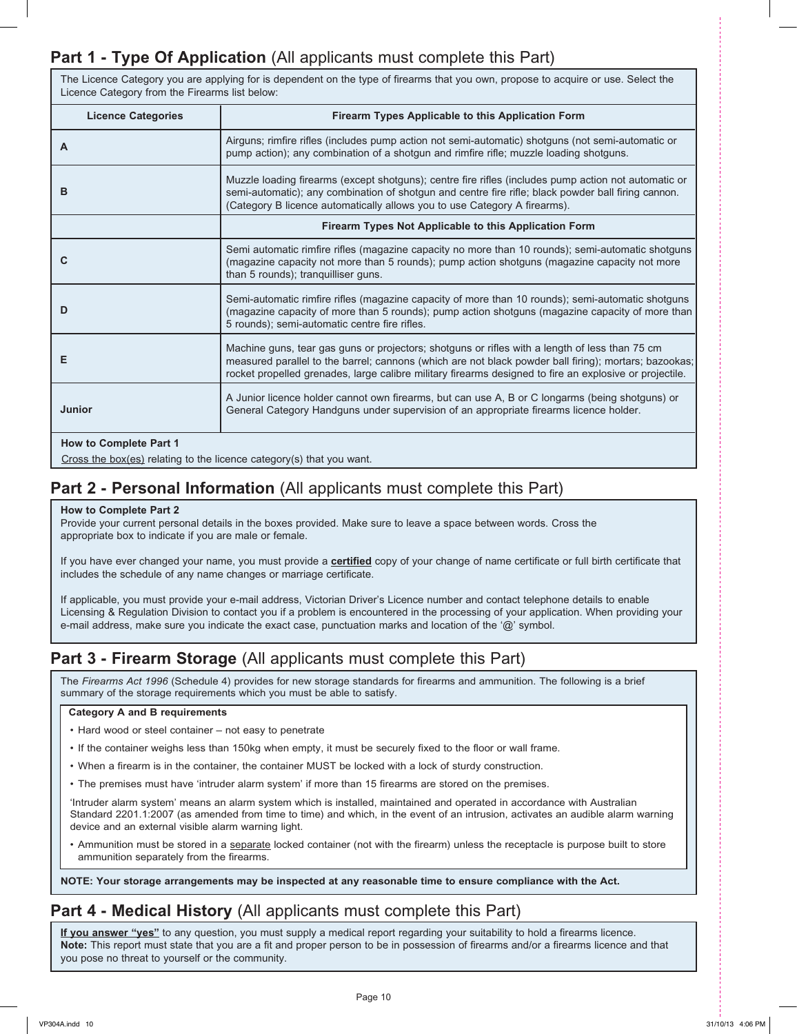## **Part 1 - Type Of Application** (All applicants must complete this Part)

The Licence Category you are applying for is dependent on the type of firearms that you own, propose to acquire or use. Select the Licence Category from the Firearms list below:

| <b>Licence Categories</b>                                                                                        | <b>Firearm Types Applicable to this Application Form</b>                                                                                                                                                                                                                                                           |
|------------------------------------------------------------------------------------------------------------------|--------------------------------------------------------------------------------------------------------------------------------------------------------------------------------------------------------------------------------------------------------------------------------------------------------------------|
| A                                                                                                                | Airguns; rimfire rifles (includes pump action not semi-automatic) shotguns (not semi-automatic or<br>pump action); any combination of a shotgun and rimfire rifle; muzzle loading shotguns.                                                                                                                        |
| в                                                                                                                | Muzzle loading firearms (except shotguns); centre fire rifles (includes pump action not automatic or<br>semi-automatic); any combination of shotgun and centre fire rifle; black powder ball firing cannon.<br>(Category B licence automatically allows you to use Category A firearms).                           |
|                                                                                                                  | Firearm Types Not Applicable to this Application Form                                                                                                                                                                                                                                                              |
| С                                                                                                                | Semi automatic rimfire rifles (magazine capacity no more than 10 rounds); semi-automatic shotguns<br>(magazine capacity not more than 5 rounds); pump action shotguns (magazine capacity not more<br>than 5 rounds); tranquilliser guns.                                                                           |
| D                                                                                                                | Semi-automatic rimfire rifles (magazine capacity of more than 10 rounds); semi-automatic shotguns<br>(magazine capacity of more than 5 rounds); pump action shotguns (magazine capacity of more than<br>5 rounds); semi-automatic centre fire rifles.                                                              |
| Е                                                                                                                | Machine guns, tear gas guns or projectors; shotguns or rifles with a length of less than 75 cm<br>measured parallel to the barrel; cannons (which are not black powder ball firing); mortars; bazookas;<br>rocket propelled grenades, large calibre military firearms designed to fire an explosive or projectile. |
| <b>Junior</b>                                                                                                    | A Junior licence holder cannot own firearms, but can use A, B or C longarms (being shotguns) or<br>General Category Handguns under supervision of an appropriate firearms licence holder.                                                                                                                          |
| <b>How to Complete Part 1</b><br>$C_{\text{meas}}$ the hey/co) relating to the license estegangle) that you want |                                                                                                                                                                                                                                                                                                                    |

Cross the box(es) relating to the licence category(s) that you want.

## **Part 2 - Personal Information** (All applicants must complete this Part)

#### **How to Complete Part 2**

Provide your current personal details in the boxes provided. Make sure to leave a space between words. Cross the appropriate box to indicate if you are male or female.

If you have ever changed your name, you must provide a **certified** copy of your change of name certificate or full birth certificate that includes the schedule of any name changes or marriage certificate.

If applicable, you must provide your e-mail address, Victorian Driver's Licence number and contact telephone details to enable Licensing & Regulation Division to contact you if a problem is encountered in the processing of your application. When providing your e-mail address, make sure you indicate the exact case, punctuation marks and location of the '@' symbol.

## **Part 3 - Firearm Storage** (All applicants must complete this Part)

The *Firearms Act 1996* (Schedule 4) provides for new storage standards for firearms and ammunition. The following is a brief summary of the storage requirements which you must be able to satisfy.

#### **Category A and B requirements**

- Hard wood or steel container not easy to penetrate
- If the container weighs less than 150kg when empty, it must be securely fixed to the floor or wall frame.
- When a firearm is in the container, the container MUST be locked with a lock of sturdy construction.
- The premises must have 'intruder alarm system' if more than 15 firearms are stored on the premises.

'Intruder alarm system' means an alarm system which is installed, maintained and operated in accordance with Australian Standard 2201.1:2007 (as amended from time to time) and which, in the event of an intrusion, activates an audible alarm warning device and an external visible alarm warning light.

• Ammunition must be stored in a separate locked container (not with the firearm) unless the receptacle is purpose built to store ammunition separately from the firearms.

**NOTE: Your storage arrangements may be inspected at any reasonable time to ensure compliance with the Act.**

## **Part 4 - Medical History** (All applicants must complete this Part)

**If you answer "yes"** to any question, you must supply a medical report regarding your suitability to hold a firearms licence. **Note:** This report must state that you are a fit and proper person to be in possession of firearms and/or a firearms licence and that you pose no threat to yourself or the community.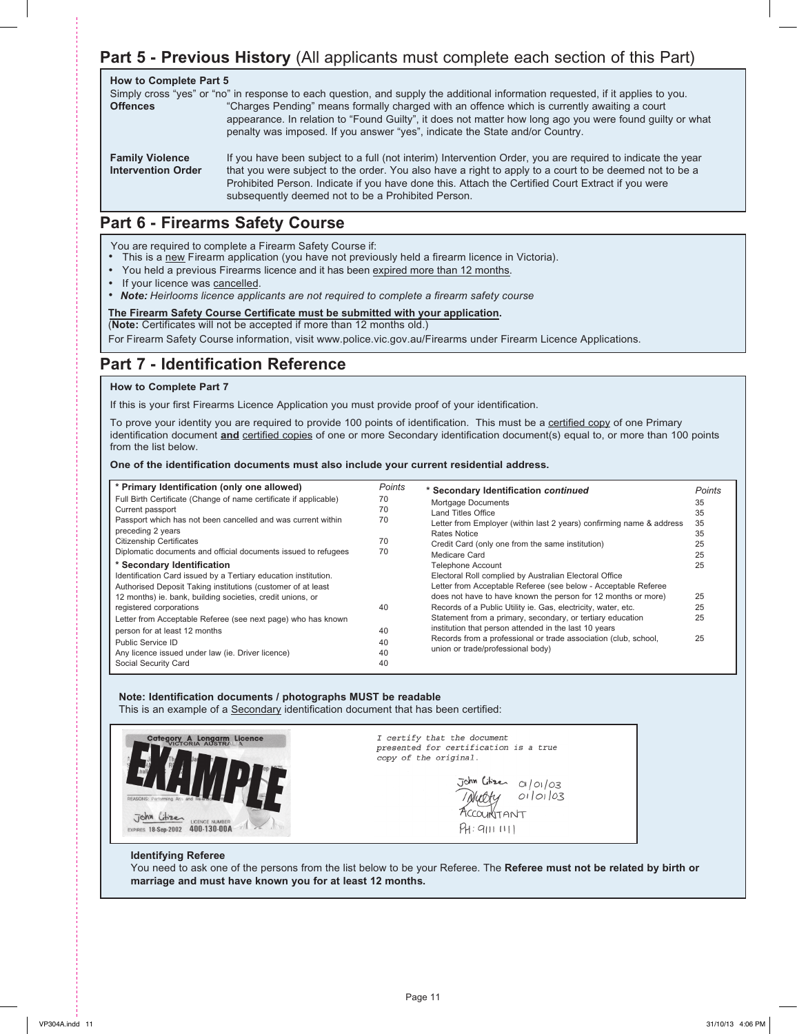## **Part 5 - Previous History** (All applicants must complete each section of this Part)

| <b>How to Complete Part 5</b><br><b>Offences</b>    | Simply cross "yes" or "no" in response to each question, and supply the additional information requested, if it applies to you.<br>"Charges Pending" means formally charged with an offence which is currently awaiting a court<br>appearance. In relation to "Found Guilty", it does not matter how long ago you were found guilty or what<br>penalty was imposed. If you answer "yes", indicate the State and/or Country. |
|-----------------------------------------------------|-----------------------------------------------------------------------------------------------------------------------------------------------------------------------------------------------------------------------------------------------------------------------------------------------------------------------------------------------------------------------------------------------------------------------------|
| <b>Family Violence</b><br><b>Intervention Order</b> | If you have been subject to a full (not interim) Intervention Order, you are required to indicate the year<br>that you were subject to the order. You also have a right to apply to a court to be deemed not to be a<br>Prohibited Person. Indicate if you have done this. Attach the Certified Court Extract if you were<br>subsequently deemed not to be a Prohibited Person.                                             |

## **Part 6 - Firearms Safety Course**

You are required to complete a Firearm Safety Course if:

- This is a new Firearm application (you have not previously held a firearm licence in Victoria).
- You held a previous Firearms licence and it has been expired more than 12 months.
- If your licence was cancelled.
- *Note: Heirlooms licence applicants are not required to completeafirearm safety course* •

#### **The Firearm Safety Course Certificate must be submitted with your application.**

(**Note:** Certificates will not be accepted if more than 12 months old.)

For Firearm Safety Course information, visit www.police.vic.gov.au/Firearms under Firearm Licence Applications.

## **Part 7 - Identification Reference**

#### **How to Complete Part 7**

If this is your first Firearms Licence Application you must provide proof of your identification.

To prove your identity you are required to provide 100 points of identification. This must be a certified copy of one Primary identification document *and* certified copies of one or more Secondary identification document(s) equal to, or more than 100 points from the list below.

#### **One of the identification documents must also include your current residential address.**

| * Primary Identification (only one allowed)<br>Full Birth Certificate (Change of name certificate if applicable)<br>Current passport<br>Passport which has not been cancelled and was current within<br>preceding 2 years<br><b>Citizenship Certificates</b><br>Diplomatic documents and official documents issued to refugees<br>* Secondary Identification<br>Identification Card issued by a Tertiary education institution.<br>Authorised Deposit Taking institutions (customer of at least<br>12 months) ie. bank, building societies, credit unions, or<br>registered corporations<br>Letter from Acceptable Referee (see next page) who has known<br>person for at least 12 months<br>Public Service ID | Points<br>70<br>70<br>70<br>70<br>70<br>40<br>40<br>40 | * Secondary Identification continued<br>Mortgage Documents<br>Land Titles Office<br>Letter from Employer (within last 2 years) confirming name & address<br>Rates Notice<br>Credit Card (only one from the same institution)<br>Medicare Card<br><b>Telephone Account</b><br>Electoral Roll complied by Australian Electoral Office<br>Letter from Acceptable Referee (see below - Acceptable Referee<br>does not have to have known the person for 12 months or more)<br>Records of a Public Utility ie. Gas, electricity, water, etc.<br>Statement from a primary, secondary, or tertiary education<br>institution that person attended in the last 10 years<br>Records from a professional or trade association (club, school, | <b>Points</b><br>35<br>35<br>35<br>35<br>25<br>25<br>25<br>25<br>25<br>25<br>25 |
|----------------------------------------------------------------------------------------------------------------------------------------------------------------------------------------------------------------------------------------------------------------------------------------------------------------------------------------------------------------------------------------------------------------------------------------------------------------------------------------------------------------------------------------------------------------------------------------------------------------------------------------------------------------------------------------------------------------|--------------------------------------------------------|-----------------------------------------------------------------------------------------------------------------------------------------------------------------------------------------------------------------------------------------------------------------------------------------------------------------------------------------------------------------------------------------------------------------------------------------------------------------------------------------------------------------------------------------------------------------------------------------------------------------------------------------------------------------------------------------------------------------------------------|---------------------------------------------------------------------------------|
| Any licence issued under law (ie. Driver licence)<br>Social Security Card                                                                                                                                                                                                                                                                                                                                                                                                                                                                                                                                                                                                                                      | 40<br>40                                               | union or trade/professional body)                                                                                                                                                                                                                                                                                                                                                                                                                                                                                                                                                                                                                                                                                                 |                                                                                 |

#### **Note: Identification documents / photographs MUST be readable**

This is an example of a Secondary identification document that has been certified:



I certify that the document presented for certification is a true copy of the original.

 $\overline{J}$ ohn Litizen  $O(|O|/O3)$ 01/01/03 PH: 9111 1111

#### **Identifying Referee**

You need to ask one of the persons from the list below to be your Referee. The **Referee must not be related by birth or marriage and must have known you for at least 12 months.**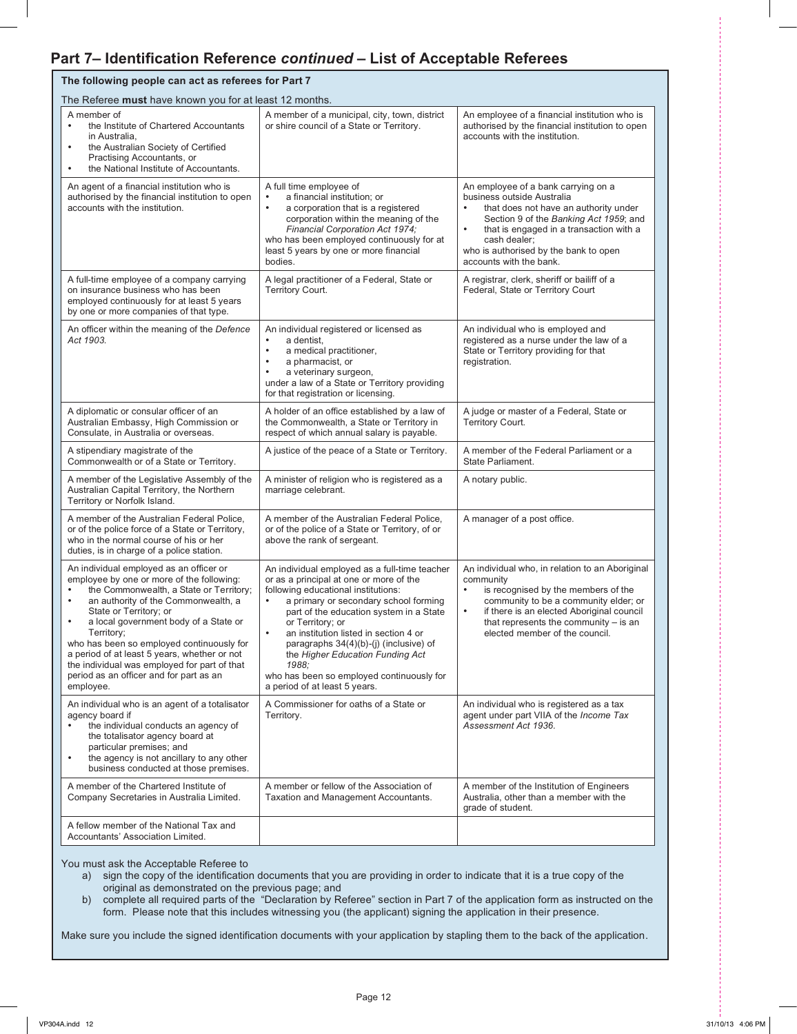## **Part 7– Identification Reference** *continued* **– List of Acceptable Referees**

| The following people can act as referees for Part 7                                                                                                                                                                                                                                                                                                                                                                                                                       |                                                                                                                                                                                                                                                                                                                                                                                                                                                                    |                                                                                                                                                                                                                                                                                                  |  |  |  |  |  |  |  |  |  |
|---------------------------------------------------------------------------------------------------------------------------------------------------------------------------------------------------------------------------------------------------------------------------------------------------------------------------------------------------------------------------------------------------------------------------------------------------------------------------|--------------------------------------------------------------------------------------------------------------------------------------------------------------------------------------------------------------------------------------------------------------------------------------------------------------------------------------------------------------------------------------------------------------------------------------------------------------------|--------------------------------------------------------------------------------------------------------------------------------------------------------------------------------------------------------------------------------------------------------------------------------------------------|--|--|--|--|--|--|--|--|--|
| The Referee must have known you for at least 12 months.                                                                                                                                                                                                                                                                                                                                                                                                                   |                                                                                                                                                                                                                                                                                                                                                                                                                                                                    |                                                                                                                                                                                                                                                                                                  |  |  |  |  |  |  |  |  |  |
| A member of<br>the Institute of Chartered Accountants<br>$\bullet$<br>in Australia,<br>the Australian Society of Certified<br>$\bullet$<br>Practising Accountants, or<br>the National Institute of Accountants.<br>$\bullet$                                                                                                                                                                                                                                              | A member of a municipal, city, town, district<br>or shire council of a State or Territory.                                                                                                                                                                                                                                                                                                                                                                         | An employee of a financial institution who is<br>authorised by the financial institution to open<br>accounts with the institution.                                                                                                                                                               |  |  |  |  |  |  |  |  |  |
| An agent of a financial institution who is<br>authorised by the financial institution to open<br>accounts with the institution.                                                                                                                                                                                                                                                                                                                                           | A full time employee of<br>a financial institution; or<br>$\bullet$<br>a corporation that is a registered<br>$\bullet$<br>corporation within the meaning of the<br>Financial Corporation Act 1974;<br>who has been employed continuously for at<br>least 5 years by one or more financial<br>bodies.                                                                                                                                                               | An employee of a bank carrying on a<br>business outside Australia<br>that does not have an authority under<br>Section 9 of the Banking Act 1959; and<br>that is engaged in a transaction with a<br>$\bullet$<br>cash dealer:<br>who is authorised by the bank to open<br>accounts with the bank. |  |  |  |  |  |  |  |  |  |
| A full-time employee of a company carrying<br>on insurance business who has been<br>employed continuously for at least 5 years<br>by one or more companies of that type.                                                                                                                                                                                                                                                                                                  | A legal practitioner of a Federal, State or<br>Territory Court.                                                                                                                                                                                                                                                                                                                                                                                                    | A registrar, clerk, sheriff or bailiff of a<br>Federal, State or Territory Court                                                                                                                                                                                                                 |  |  |  |  |  |  |  |  |  |
| An officer within the meaning of the Defence<br>Act 1903.                                                                                                                                                                                                                                                                                                                                                                                                                 | An individual registered or licensed as<br>a dentist,<br>a medical practitioner,<br>$\bullet$<br>a pharmacist, or<br>$\bullet$<br>a veterinary surgeon,<br>$\bullet$<br>under a law of a State or Territory providing<br>for that registration or licensing.                                                                                                                                                                                                       | An individual who is employed and<br>registered as a nurse under the law of a<br>State or Territory providing for that<br>registration.                                                                                                                                                          |  |  |  |  |  |  |  |  |  |
| A diplomatic or consular officer of an<br>Australian Embassy, High Commission or<br>Consulate, in Australia or overseas.                                                                                                                                                                                                                                                                                                                                                  | A holder of an office established by a law of<br>the Commonwealth, a State or Territory in<br>respect of which annual salary is payable.                                                                                                                                                                                                                                                                                                                           | A judge or master of a Federal, State or<br>Territory Court.                                                                                                                                                                                                                                     |  |  |  |  |  |  |  |  |  |
| A stipendiary magistrate of the<br>Commonwealth or of a State or Territory.                                                                                                                                                                                                                                                                                                                                                                                               | A justice of the peace of a State or Territory.                                                                                                                                                                                                                                                                                                                                                                                                                    | A member of the Federal Parliament or a<br>State Parliament.                                                                                                                                                                                                                                     |  |  |  |  |  |  |  |  |  |
| A member of the Legislative Assembly of the<br>Australian Capital Territory, the Northern<br>Territory or Norfolk Island.                                                                                                                                                                                                                                                                                                                                                 | A minister of religion who is registered as a<br>marriage celebrant.                                                                                                                                                                                                                                                                                                                                                                                               | A notary public.                                                                                                                                                                                                                                                                                 |  |  |  |  |  |  |  |  |  |
| A member of the Australian Federal Police,<br>or of the police force of a State or Territory,<br>who in the normal course of his or her<br>duties, is in charge of a police station.                                                                                                                                                                                                                                                                                      | A member of the Australian Federal Police,<br>or of the police of a State or Territory, of or<br>above the rank of sergeant.                                                                                                                                                                                                                                                                                                                                       | A manager of a post office.                                                                                                                                                                                                                                                                      |  |  |  |  |  |  |  |  |  |
| An individual employed as an officer or<br>employee by one or more of the following:<br>the Commonwealth, a State or Territory;<br>an authority of the Commonwealth, a<br>$\bullet$<br>State or Territory; or<br>a local government body of a State or<br>Territory;<br>who has been so employed continuously for<br>a period of at least 5 years, whether or not<br>the individual was employed for part of that<br>period as an officer and for part as an<br>employee. | An individual employed as a full-time teacher<br>or as a principal at one or more of the<br>following educational institutions:<br>a primary or secondary school forming<br>part of the education system in a State<br>or Territory; or<br>an institution listed in section 4 or<br>$\bullet$<br>paragraphs 34(4)(b)-(j) (inclusive) of<br>the Higher Education Funding Act<br>1988;<br>who has been so employed continuously for<br>a period of at least 5 years. | An individual who, in relation to an Aboriginal<br>community<br>• is recognised by the members of the<br>community to be a community elder; or<br>if there is an elected Aboriginal council<br>$\bullet$<br>that represents the community $-$ is an<br>elected member of the council.            |  |  |  |  |  |  |  |  |  |
| An individual who is an agent of a totalisator<br>agency board if<br>the individual conducts an agency of<br>the totalisator agency board at<br>particular premises; and<br>the agency is not ancillary to any other<br>$\bullet$<br>business conducted at those premises.                                                                                                                                                                                                | A Commissioner for oaths of a State or<br>Territory.                                                                                                                                                                                                                                                                                                                                                                                                               | An individual who is registered as a tax<br>agent under part VIIA of the <i>Income Tax</i><br>Assessment Act 1936.                                                                                                                                                                               |  |  |  |  |  |  |  |  |  |
| A member of the Chartered Institute of<br>Company Secretaries in Australia Limited.                                                                                                                                                                                                                                                                                                                                                                                       | A member or fellow of the Association of<br>Taxation and Management Accountants.                                                                                                                                                                                                                                                                                                                                                                                   | A member of the Institution of Engineers<br>Australia, other than a member with the<br>grade of student.                                                                                                                                                                                         |  |  |  |  |  |  |  |  |  |
| A fellow member of the National Tax and<br>Accountants' Association Limited.                                                                                                                                                                                                                                                                                                                                                                                              |                                                                                                                                                                                                                                                                                                                                                                                                                                                                    |                                                                                                                                                                                                                                                                                                  |  |  |  |  |  |  |  |  |  |

You must ask the Acceptable Referee to

- a) sign the copy of the identification documents that you are providing in order to indicate that it is a true copy of the original as demonstrated on the previous page; and
- b) complete all required parts of the "Declaration by Referee" section in Part 7 of the application form as instructed on the form. Please note that this includes witnessing you (the applicant) signing the application in their presence.

Make sure you include the signed identification documents with your application by stapling them to the back of the application.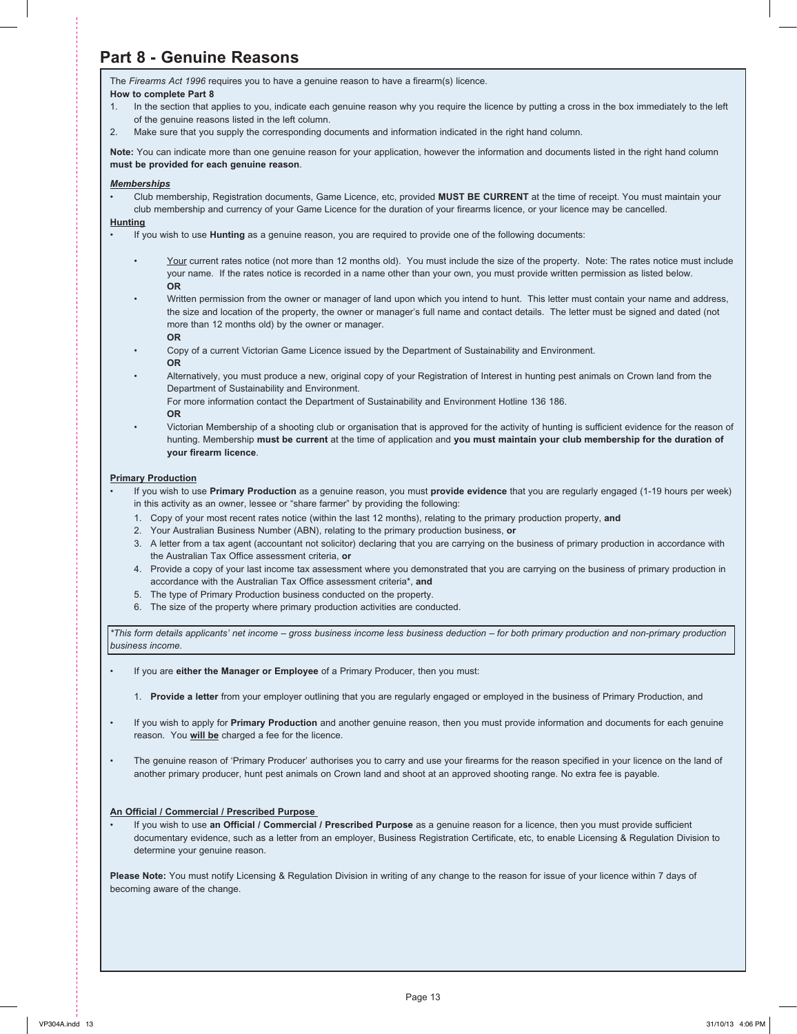## **Part 8 - Genuine Reasons**

The *Firearms Act 1996* requires you to have a genuine reason to have a firearm(s) licence. **How to complete Part 8**

- 1. In the section that applies to you, indicate each genuine reason why you require the licence by putting a cross in the box immediately to the left of the genuine reasons listed in the left column.
- 2. Make sure that you supply the corresponding documents and information indicated in the right hand column.

**Note:** You can indicate more than one genuine reason for your application, however the information and documents listed in the right hand column **must be provided for each genuine reason**.

#### *Memberships*

• Club membership, Registration documents, Game Licence, etc, provided **MUST BE CURRENT** at the time of receipt. You must maintain your club membership and currency of your Game Licence for the duration of your firearms licence, or your licence may be cancelled.

#### **Hunting**

- If you wish to use **Hunting** as a genuine reason, you are required to provide one of the following documents:
	- Your current rates notice (not more than 12 months old). You must include the size of the property. Note: The rates notice must include your name. If the rates notice is recorded in a name other than your own, you must provide written permission as listed below.  **OR**
	- Written permission from the owner or manager of land upon which you intend to hunt. This letter must contain your name and address, the size and location of the property, the owner or manager's full name and contact details. The letter must be signed and dated (not more than 12 months old) by the owner or manager.
		- **OR**
	- Copy of a current Victorian Game Licence issued by the Department of Sustainability and Environment.
	- **OR**
	- Alternatively, you must produce a new, original copy of your Registration of Interest in hunting pest animals on Crown land from the Department of Sustainability and Environment.

For more information contact the Department of Sustainability and Environment Hotline 136 186.

- **OR**
- Victorian Membership of a shooting club or organisation that is approved for the activity of hunting is sufficient evidence for the reason of hunting. Membership **must be current** at the time of application and **you must maintain your club membership for the duration of your firearm licence**.

#### **Primary Production**

- If you wish to use **Primary Production** as a genuine reason, you must **provide evidence** that you are regularly engaged (1-19 hours per week) in this activity as an owner, lessee or "share farmer" by providing the following:
	- 1. Copy of your most recent rates notice (within the last 12 months), relating to the primary production property, **and**
	- 2. Your Australian Business Number (ABN), relating to the primary production business, **or**
	- 3. A letter from a tax agent (accountant not solicitor) declaring that you are carrying on the business of primary production in accordance with the Australian Tax Office assessment criteria, **or**
	- 4. Provide a copy of your last income tax assessment where you demonstrated that you are carrying on the business of primary production in accordance with the Australian Tax Office assessment criteria\*, **and**
	- 5. The type of Primary Production business conducted on the property.
	- 6. The size of the property where primary production activities are conducted.

*\*This form details applicants' net income – gross business income less business deduction – for both primary production and non-primary production business income.*

- If you are **either the Manager or Employee** of a Primary Producer, then you must:
	- 1. **Provide a letter** from your employer outlining that you are regularly engaged or employed in the business of Primary Production, and
- If you wish to apply for **Primary Production** and another genuine reason, then you must provide information and documents for each genuine reason. You **will be** charged a fee for the licence.
- The genuine reason of 'Primary Producer' authorises you to carry and use your firearms for the reason specified in your licence on the land of another primary producer, hunt pest animals on Crown land and shoot at an approved shooting range. No extra fee is payable.

#### **An Official / Commercial / Prescribed Purpose**

• If you wish to use **an Official / Commercial / Prescribed Purpose** as a genuine reason for a licence, then you must provide sufficient documentary evidence, such as a letter from an employer, Business Registration Certificate, etc, to enable Licensing & Regulation Division to determine your genuine reason.

**Please Note:** You must notify Licensing & Regulation Division in writing of any change to the reason for issue of your licence within 7 days of becoming aware of the change.